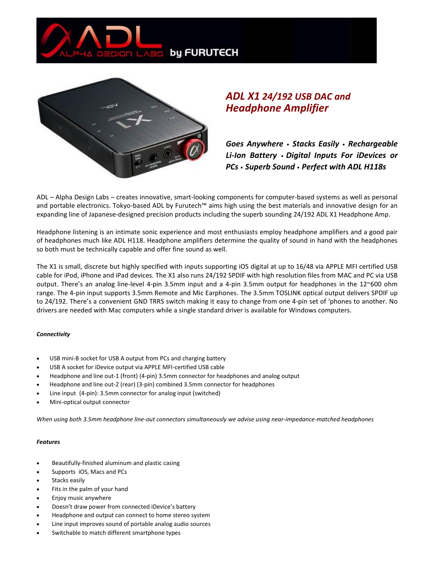



# *ADL X1 24/192 USB DAC and Headphone Amplifier*

*Goes Anywhere* • *Stacks Easily* • *Rechargeable Li-Ion Battery* • *Digital Inputs For iDevices or PCs* • *Superb Sound* • *Perfect with ADL H118s*

ADL – Alpha Design Labs – creates innovative, smart-looking components for computer-based systems as well as personal and portable electronics. Tokyo-based ADL by Furutech™ aims high using the best materials and innovative design for an expanding line of Japanese-designed precision products including the superb sounding 24/192 ADL X1 Headphone Amp.

Headphone listening is an intimate sonic experience and most enthusiasts employ headphone amplifiers and a good pair of headphones much like ADL H118. Headphone amplifiers determine the quality of sound in hand with the headphones so both must be technically capable and offer fine sound as well.

The X1 is small, discrete but highly specified with inputs supporting iOS digital at up to 16/48 via APPLE MFI certified USB cable for iPod, iPhone and iPad devices. The X1 also runs 24/192 SPDIF with high resolution files from MAC and PC via USB output. There's an analog line-level 4-pin 3.5mm input and a 4-pin 3.5mm output for headphones in the 12~600 ohm range. The 4-pin input supports 3.5mm Remote and Mic Earphones. The 3.5mm TOSLINK optical output delivers SPDIF up to 24/192. There's a convenient GND TRRS switch making it easy to change from one 4-pin set of 'phones to another. No drivers are needed with Mac computers while a single standard driver is available for Windows computers.

#### *Connectivity*

- USB mini-B socket for USB A output from PCs and charging battery
- USB A socket for iDevice output via APPLE MFI-certified USB cable
- Headphone and line out-1 (front) (4-pin) 3.5mm connector for headphones and analog output
- Headphone and line out-2 (rear) (3-pin) combined 3.5mm connector for headphones
- Line input (4-pin): 3.5mm connector for analog input (switched)
- Mini-optical output connector

*When using both 3.5mm headphone line-out connectors simultaneously we advise using near-impedance-matched headphones*

#### *Features*

- Beautifully-finished aluminum and plastic casing
- Supports iOS, Macs and PCs
- Stacks easily
- Fits in the palm of your hand
- Enjoy music anywhere
- Doesn't draw power from connected iDevice's battery
- Headphone and output can connect to home stereo system
- Line input improves sound of portable analog audio sources
- Switchable to match different smartphone types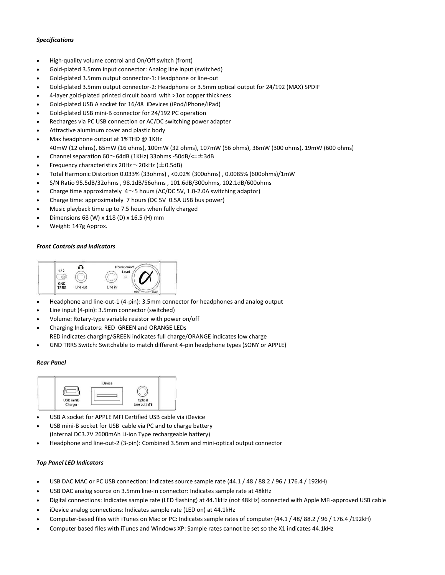### *Specifications*

- High-quality volume control and On/Off switch (front)
- Gold-plated 3.5mm input connector: Analog line input (switched)
- Gold-plated 3.5mm output connector-1: Headphone or line-out
- Gold-plated 3.5mm output connector-2: Headphone or 3.5mm optical output for 24/192 (MAX) SPDIF
- 4-layer gold-plated printed circuit board with >1oz copper thickness
- Gold-plated USB A socket for 16/48 iDevices (iPod/iPhone/iPad)
- Gold-plated USB mini-B connector for 24/192 PC operation
- Recharges via PC USB connection or AC/DC switching power adapter
- Attractive aluminum cover and plastic body
- Max headphone output at 1%THD @ 1KHz 40mW (12 ohms), 65mW (16 ohms), 100mW (32 ohms), 107mW (56 ohms), 36mW (300 ohms), 19mW (600 ohms)
- Channel separation 60 $\sim$ 64dB (1KHz) 33ohms -50dB/<= $\pm$ 3dB
- Frequency characteristics  $20$ Hz $\sim$ 20kHz ( $\pm$ 0.5dB)
- Total Harmonic Distortion 0.033% (33ohms) , <0.02% (300ohms) , 0.0085% (600ohms)/1mW
- S/N Ratio 95.5dB/32ohms , 98.1dB/56ohms , 101.6dB/300ohms, 102.1dB/600ohms
- Charge time approximately  $4 \sim 5$  hours (AC/DC 5V, 1.0-2.0A switching adaptor)
- Charge time: approximately 7 hours (DC 5V 0.5A USB bus power)
- Music playback time up to 7.5 hours when fully charged
- Dimensions 68 (W) x 118 (D) x 16.5 (H) mm
- Weight: 147g Approx.

#### *Front Controls and Indicators*



- Headphone and line-out-1 (4-pin): 3.5mm connector for headphones and analog output
- Line input (4-pin): 3.5mm connector (switched)
- Volume: Rotary-type variable resistor with power on/off
- Charging Indicators: RED GREEN and ORANGE LEDs
	- RED indicates charging/GREEN indicates full charge/ORANGE indicates low charge
- GND TRRS Switch: Switchable to match different 4-pin headphone types (SONY or APPLE)

#### *Rear Panel*



- USB A socket for APPLE MFI Certified USB cable via iDevice
- USB mini-B socket for USB cable via PC and to charge battery (Internal DC3.7V 2600mAh Li-ion Type rechargeable battery)
- Headphone and line-out-2 (3-pin): Combined 3.5mm and mini-optical output connector

#### *Top Panel LED Indicators*

- USB DAC MAC or PC USB connection: Indicates source sample rate (44.1 / 48 / 88.2 / 96 / 176.4 / 192kH)
- USB DAC analog source on 3.5mm line-in connector: Indicates sample rate at 48kHz
- Digital connections: Indicates sample rate (LED flashing) at 44.1kHz (not 48kHz) connected with Apple MFi-approved USB cable
- iDevice analog connections: Indicates sample rate (LED on) at 44.1kHz
- Computer-based files with iTunes on Mac or PC: Indicates sample rates of computer (44.1 / 48/ 88.2 / 96 / 176.4 /192kH)
- Computer based files with iTunes and Windows XP: Sample rates cannot be set so the X1 indicates 44.1kHz